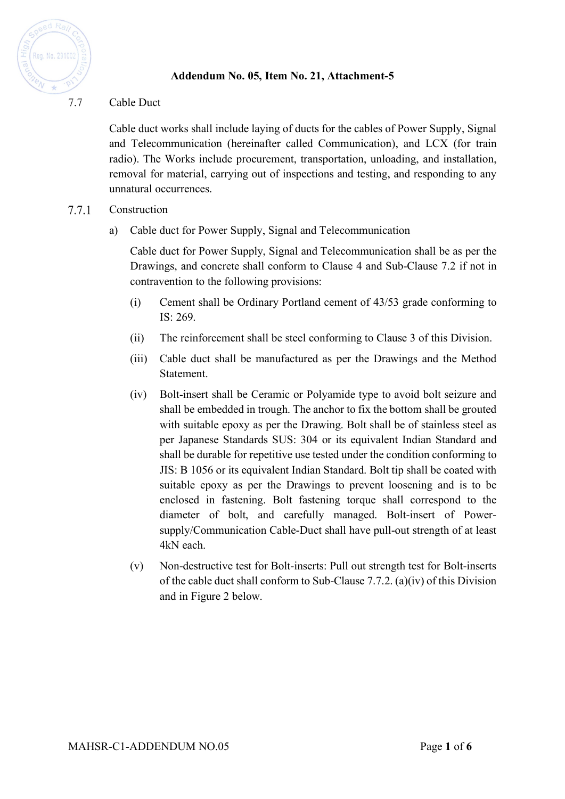

# **Addendum No. 05, Item No. 21, Attachment-5**

## 7.7 Cable Duct

Cable duct works shall include laying of ducts for the cables of Power Supply, Signal and Telecommunication (hereinafter called Communication), and LCX (for train radio). The Works include procurement, transportation, unloading, and installation, removal for material, carrying out of inspections and testing, and responding to any unnatural occurrences.

#### 7.7.1 Construction

a) Cable duct for Power Supply, Signal and Telecommunication

Cable duct for Power Supply, Signal and Telecommunication shall be as per the Drawings, and concrete shall conform to Clause 4 and Sub-Clause 7.2 if not in contravention to the following provisions:

- (i) Cement shall be Ordinary Portland cement of 43/53 grade conforming to IS: 269.
- (ii) The reinforcement shall be steel conforming to Clause 3 of this Division.
- (iii) Cable duct shall be manufactured as per the Drawings and the Method Statement.
- (iv) Bolt-insert shall be Ceramic or Polyamide type to avoid bolt seizure and shall be embedded in trough. The anchor to fix the bottom shall be grouted with suitable epoxy as per the Drawing. Bolt shall be of stainless steel as per Japanese Standards SUS: 304 or its equivalent Indian Standard and shall be durable for repetitive use tested under the condition conforming to JIS: B 1056 or its equivalent Indian Standard. Bolt tip shall be coated with suitable epoxy as per the Drawings to prevent loosening and is to be enclosed in fastening. Bolt fastening torque shall correspond to the diameter of bolt, and carefully managed. Bolt-insert of Powersupply/Communication Cable-Duct shall have pull-out strength of at least 4kN each.
- (v) Non-destructive test for Bolt-inserts: Pull out strength test for Bolt-inserts of the cable duct shall conform to Sub-Clause 7.7.2. (a)(iv) of this Division and in Figure 2 below.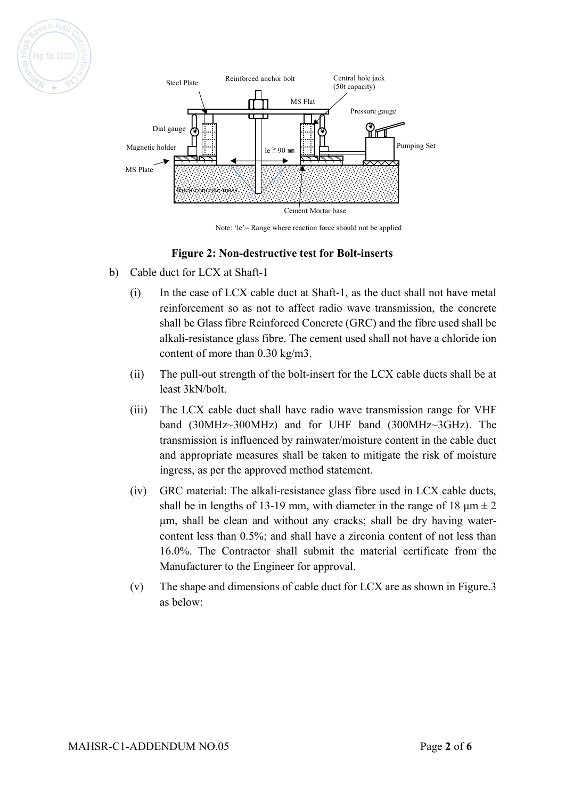



Note: 'le'= Range where reaction force should not be applied

### **Figure 2: Non-destructive test for Bolt-inserts**

- b) Cable duct for LCX at Shaft-1
	- (i) In the case of LCX cable duct at Shaft-1, as the duct shall not have metal reinforcement so as not to affect radio wave transmission, the concrete shall be Glass fibre Reinforced Concrete (GRC) and the fibre used shall be alkali-resistance glass fibre. The cement used shall not have a chloride ion content of more than 0.30 kg/m3.
	- (ii) The pull-out strength of the bolt-insert for the LCX cable ducts shall be at least 3kN/bolt.
	- (iii) The LCX cable duct shall have radio wave transmission range for VHF band (30MHz~300MHz) and for UHF band (300MHz~3GHz). The transmission is influenced by rainwater/moisture content in the cable duct and appropriate measures shall be taken to mitigate the risk of moisture ingress, as per the approved method statement.
	- (iv) GRC material: The alkali-resistance glass fibre used in LCX cable ducts, shall be in lengths of 13-19 mm, with diameter in the range of 18  $\mu$ m  $\pm$  2 µm, shall be clean and without any cracks; shall be dry having watercontent less than 0.5%; and shall have a zirconia content of not less than 16.0%. The Contractor shall submit the material certificate from the Manufacturer to the Engineer for approval.
	- (v) The shape and dimensions of cable duct for LCX are as shown in Figure.3 as below: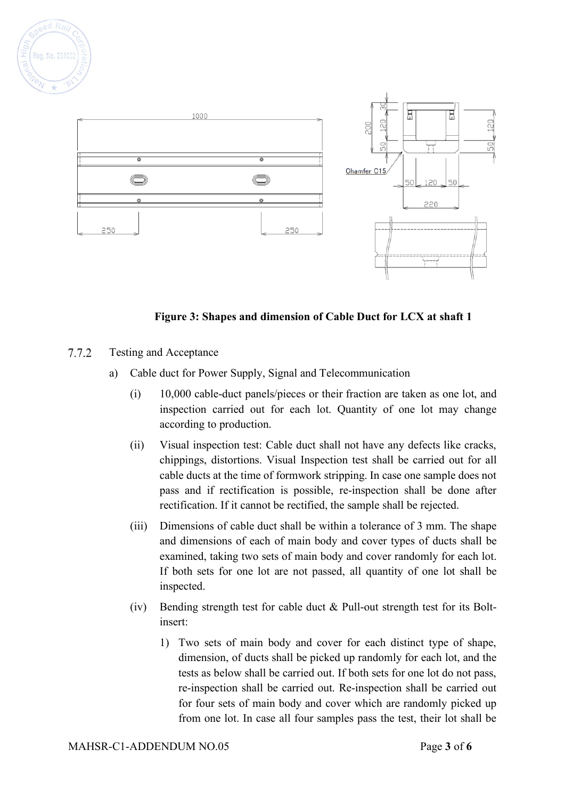



### **Figure 3: Shapes and dimension of Cable Duct for LCX at shaft 1**

- $7.7.2$ Testing and Acceptance
	- a) Cable duct for Power Supply, Signal and Telecommunication
		- (i) 10,000 cable-duct panels/pieces or their fraction are taken as one lot, and inspection carried out for each lot. Quantity of one lot may change according to production.
		- (ii) Visual inspection test: Cable duct shall not have any defects like cracks, chippings, distortions. Visual Inspection test shall be carried out for all cable ducts at the time of formwork stripping. In case one sample does not pass and if rectification is possible, re-inspection shall be done after rectification. If it cannot be rectified, the sample shall be rejected.
		- (iii) Dimensions of cable duct shall be within a tolerance of 3 mm. The shape and dimensions of each of main body and cover types of ducts shall be examined, taking two sets of main body and cover randomly for each lot. If both sets for one lot are not passed, all quantity of one lot shall be inspected.
		- (iv) Bending strength test for cable duct & Pull-out strength test for its Boltinsert:
			- 1) Two sets of main body and cover for each distinct type of shape, dimension, of ducts shall be picked up randomly for each lot, and the tests as below shall be carried out. If both sets for one lot do not pass, re-inspection shall be carried out. Re-inspection shall be carried out for four sets of main body and cover which are randomly picked up from one lot. In case all four samples pass the test, their lot shall be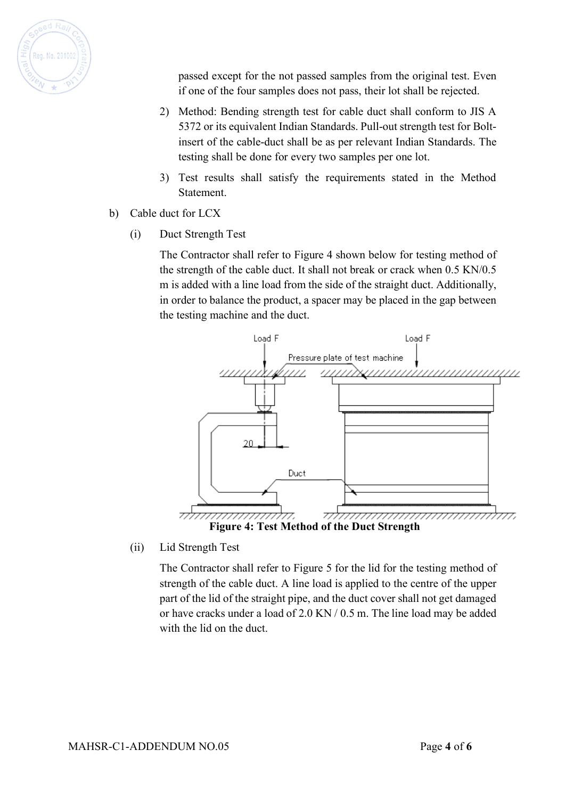

passed except for the not passed samples from the original test. Even if one of the four samples does not pass, their lot shall be rejected.

- 2) Method: Bending strength test for cable duct shall conform to JIS A 5372 or its equivalent Indian Standards. Pull-out strength test for Boltinsert of the cable-duct shall be as per relevant Indian Standards. The testing shall be done for every two samples per one lot.
- 3) Test results shall satisfy the requirements stated in the Method Statement.
- b) Cable duct for LCX
	- (i) Duct Strength Test

The Contractor shall refer to Figure 4 shown below for testing method of the strength of the cable duct. It shall not break or crack when 0.5 KN/0.5 m is added with a line load from the side of the straight duct. Additionally, in order to balance the product, a spacer may be placed in the gap between the testing machine and the duct.



(ii) Lid Strength Test

The Contractor shall refer to Figure 5 for the lid for the testing method of strength of the cable duct. A line load is applied to the centre of the upper part of the lid of the straight pipe, and the duct cover shall not get damaged or have cracks under a load of 2.0 KN / 0.5 m. The line load may be added with the lid on the duct.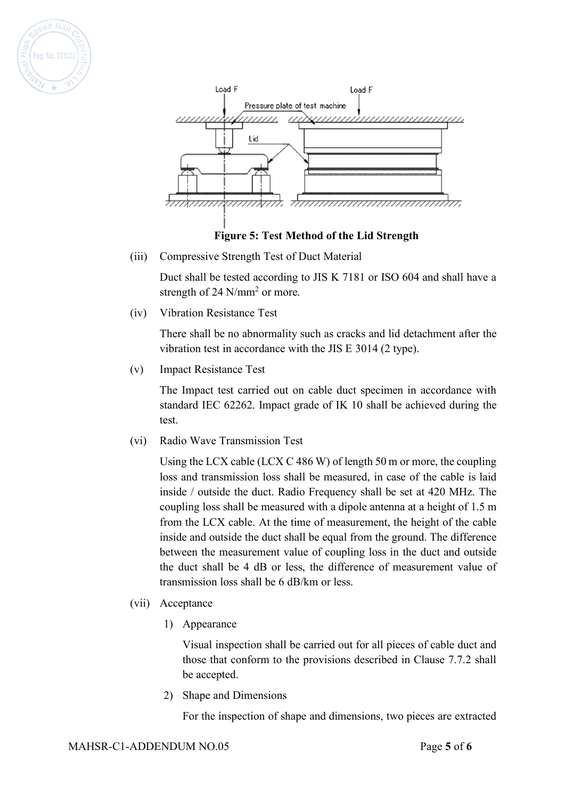



**Figure 5: Test Method of the Lid Strength**

(iii) Compressive Strength Test of Duct Material

Duct shall be tested according to JIS K 7181 or ISO 604 and shall have a strength of 24 N/mm<sup>2</sup> or more.

(iv) Vibration Resistance Test

There shall be no abnormality such as cracks and lid detachment after the vibration test in accordance with the JIS E 3014 (2 type).

(v) Impact Resistance Test

The Impact test carried out on cable duct specimen in accordance with standard IEC 62262. Impact grade of IK 10 shall be achieved during the test.

(vi) Radio Wave Transmission Test

Using the LCX cable (LCX C 486 W) of length 50 m or more, the coupling loss and transmission loss shall be measured, in case of the cable is laid inside / outside the duct. Radio Frequency shall be set at 420 MHz. The coupling loss shall be measured with a dipole antenna at a height of 1.5 m from the LCX cable. At the time of measurement, the height of the cable inside and outside the duct shall be equal from the ground. The difference between the measurement value of coupling loss in the duct and outside the duct shall be 4 dB or less, the difference of measurement value of transmission loss shall be 6 dB/km or less.

- (vii) Acceptance
	- 1) Appearance

Visual inspection shall be carried out for all pieces of cable duct and those that conform to the provisions described in Clause 7.7.2 shall be accepted.

2) Shape and Dimensions

For the inspection of shape and dimensions, two pieces are extracted